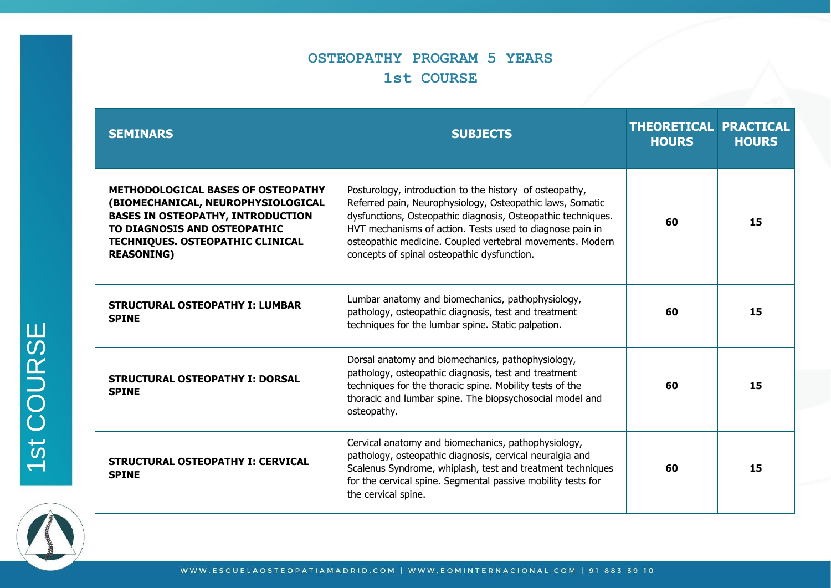# **OSTEOPATHY PROGRAM 5 YEARS 1st COURSE**

| <b>SEMINARS</b>                                                                                                                                                                                                             | <b>SUBJECTS</b>                                                                                                                                                                                                                                                                                                                                              | <b>THEORETICAL PRACTICAL</b><br><b>HOURS</b> | <b>HOURS</b> |
|-----------------------------------------------------------------------------------------------------------------------------------------------------------------------------------------------------------------------------|--------------------------------------------------------------------------------------------------------------------------------------------------------------------------------------------------------------------------------------------------------------------------------------------------------------------------------------------------------------|----------------------------------------------|--------------|
| <b>METHODOLOGICAL BASES OF OSTEOPATHY</b><br>(BIOMECHANICAL, NEUROPHYSIOLOGICAL<br><b>BASES IN OSTEOPATHY, INTRODUCTION</b><br>TO DIAGNOSIS AND OSTEOPATHIC<br><b>TECHNIQUES. OSTEOPATHIC CLINICAL</b><br><b>REASONING)</b> | Posturology, introduction to the history of osteopathy,<br>Referred pain, Neurophysiology, Osteopathic laws, Somatic<br>dysfunctions, Osteopathic diagnosis, Osteopathic techniques.<br>HVT mechanisms of action. Tests used to diagnose pain in<br>osteopathic medicine. Coupled vertebral movements. Modern<br>concepts of spinal osteopathic dysfunction. | 60                                           | 15           |
| <b>STRUCTURAL OSTEOPATHY I: LUMBAR</b><br><b>SPINE</b>                                                                                                                                                                      | Lumbar anatomy and biomechanics, pathophysiology,<br>pathology, osteopathic diagnosis, test and treatment<br>techniques for the lumbar spine. Static palpation.                                                                                                                                                                                              | 60                                           | 15           |
| <b>STRUCTURAL OSTEOPATHY I: DORSAL</b><br><b>SPINE</b>                                                                                                                                                                      | Dorsal anatomy and biomechanics, pathophysiology,<br>pathology, osteopathic diagnosis, test and treatment<br>techniques for the thoracic spine. Mobility tests of the<br>thoracic and lumbar spine. The biopsychosocial model and<br>osteopathy.                                                                                                             | 60                                           | 15           |
| <b>STRUCTURAL OSTEOPATHY I: CERVICAL</b><br><b>SPINE</b>                                                                                                                                                                    | Cervical anatomy and biomechanics, pathophysiology,<br>pathology, osteopathic diagnosis, cervical neuralgia and<br>Scalenus Syndrome, whiplash, test and treatment techniques<br>for the cervical spine. Segmental passive mobility tests for<br>the cervical spine.                                                                                         | 60                                           | 15           |

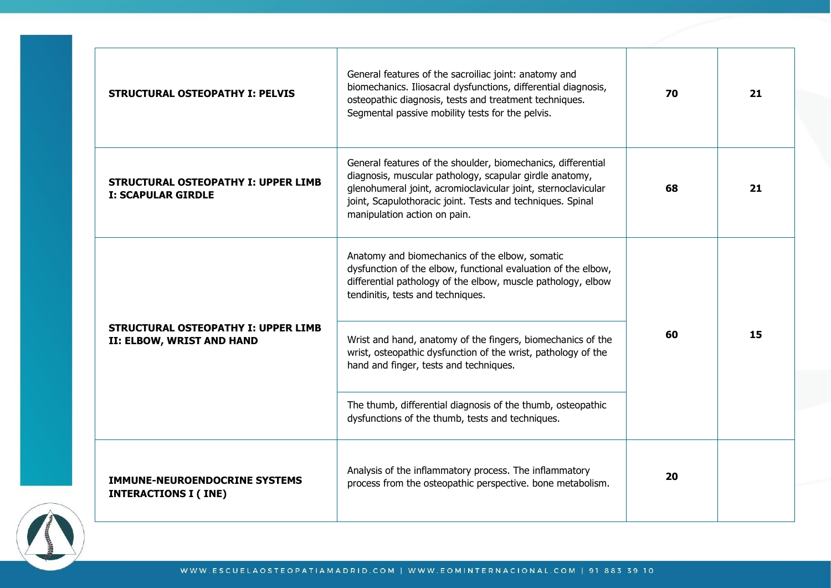| <b>STRUCTURAL OSTEOPATHY I: PELVIS</b>                                  | General features of the sacroiliac joint: anatomy and<br>biomechanics. Iliosacral dysfunctions, differential diagnosis,<br>osteopathic diagnosis, tests and treatment techniques.<br>Segmental passive mobility tests for the pelvis.                                                  | 70 | 21 |
|-------------------------------------------------------------------------|----------------------------------------------------------------------------------------------------------------------------------------------------------------------------------------------------------------------------------------------------------------------------------------|----|----|
| <b>STRUCTURAL OSTEOPATHY I: UPPER LIMB</b><br><b>I: SCAPULAR GIRDLE</b> | General features of the shoulder, biomechanics, differential<br>diagnosis, muscular pathology, scapular girdle anatomy,<br>glenohumeral joint, acromioclavicular joint, sternoclavicular<br>joint, Scapulothoracic joint. Tests and techniques. Spinal<br>manipulation action on pain. | 68 | 21 |
|                                                                         | Anatomy and biomechanics of the elbow, somatic<br>dysfunction of the elbow, functional evaluation of the elbow,<br>differential pathology of the elbow, muscle pathology, elbow<br>tendinitis, tests and techniques.                                                                   | 60 |    |
| <b>STRUCTURAL OSTEOPATHY I: UPPER LIMB</b><br>II: ELBOW, WRIST AND HAND | Wrist and hand, anatomy of the fingers, biomechanics of the<br>wrist, osteopathic dysfunction of the wrist, pathology of the<br>hand and finger, tests and techniques.                                                                                                                 |    | 15 |
|                                                                         | The thumb, differential diagnosis of the thumb, osteopathic<br>dysfunctions of the thumb, tests and techniques.                                                                                                                                                                        |    |    |
| <b>IMMUNE-NEUROENDOCRINE SYSTEMS</b><br><b>INTERACTIONS I (INE)</b>     | Analysis of the inflammatory process. The inflammatory<br>process from the osteopathic perspective. bone metabolism.                                                                                                                                                                   | 20 |    |

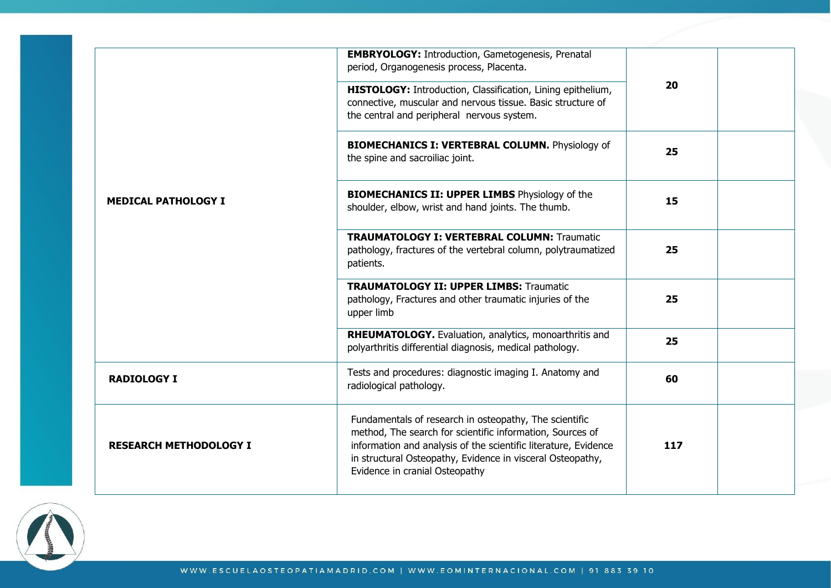|                               | <b>EMBRYOLOGY:</b> Introduction, Gametogenesis, Prenatal<br>period, Organogenesis process, Placenta.                                                                                                                                                                                   |     |  |
|-------------------------------|----------------------------------------------------------------------------------------------------------------------------------------------------------------------------------------------------------------------------------------------------------------------------------------|-----|--|
|                               | HISTOLOGY: Introduction, Classification, Lining epithelium,<br>connective, muscular and nervous tissue. Basic structure of<br>the central and peripheral nervous system.                                                                                                               | 20  |  |
|                               | <b>BIOMECHANICS I: VERTEBRAL COLUMN.</b> Physiology of<br>the spine and sacroiliac joint.                                                                                                                                                                                              | 25  |  |
| <b>MEDICAL PATHOLOGY I</b>    | <b>BIOMECHANICS II: UPPER LIMBS Physiology of the</b><br>shoulder, elbow, wrist and hand joints. The thumb.                                                                                                                                                                            | 15  |  |
|                               | <b>TRAUMATOLOGY I: VERTEBRAL COLUMN: Traumatic</b><br>pathology, fractures of the vertebral column, polytraumatized<br>patients.                                                                                                                                                       | 25  |  |
|                               | <b>TRAUMATOLOGY II: UPPER LIMBS: Traumatic</b><br>pathology, Fractures and other traumatic injuries of the<br>upper limb                                                                                                                                                               | 25  |  |
|                               | RHEUMATOLOGY. Evaluation, analytics, monoarthritis and<br>polyarthritis differential diagnosis, medical pathology.                                                                                                                                                                     | 25  |  |
| <b>RADIOLOGY I</b>            | Tests and procedures: diagnostic imaging I. Anatomy and<br>radiological pathology.                                                                                                                                                                                                     | 60  |  |
| <b>RESEARCH METHODOLOGY I</b> | Fundamentals of research in osteopathy, The scientific<br>method, The search for scientific information, Sources of<br>information and analysis of the scientific literature, Evidence<br>in structural Osteopathy, Evidence in visceral Osteopathy,<br>Evidence in cranial Osteopathy | 117 |  |

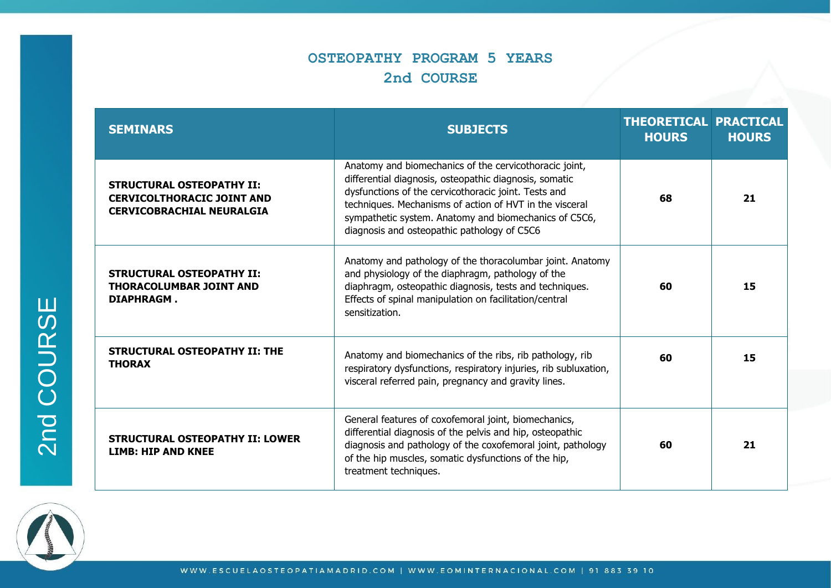#### **OSTEOPATHY PROGRAM 5 YEARS 2nd COURSE**

| <b>SEMINARS</b>                                                                                           | <b>SUBJECTS</b>                                                                                                                                                                                                                                                                                                                             | <b>THEORETICAL PRACTICAL</b><br><b>HOURS</b> | <b>HOURS</b> |
|-----------------------------------------------------------------------------------------------------------|---------------------------------------------------------------------------------------------------------------------------------------------------------------------------------------------------------------------------------------------------------------------------------------------------------------------------------------------|----------------------------------------------|--------------|
| <b>STRUCTURAL OSTEOPATHY II:</b><br><b>CERVICOLTHORACIC JOINT AND</b><br><b>CERVICOBRACHIAL NEURALGIA</b> | Anatomy and biomechanics of the cervicothoracic joint,<br>differential diagnosis, osteopathic diagnosis, somatic<br>dysfunctions of the cervicothoracic joint. Tests and<br>techniques. Mechanisms of action of HVT in the visceral<br>sympathetic system. Anatomy and biomechanics of C5C6,<br>diagnosis and osteopathic pathology of C5C6 | 68                                           | 21           |
| <b>STRUCTURAL OSTEOPATHY II:</b><br><b>THORACOLUMBAR JOINT AND</b><br><b>DIAPHRAGM.</b>                   | Anatomy and pathology of the thoracolumbar joint. Anatomy<br>and physiology of the diaphragm, pathology of the<br>diaphragm, osteopathic diagnosis, tests and techniques.<br>Effects of spinal manipulation on facilitation/central<br>sensitization.                                                                                       | 60                                           | 15           |
| <b>STRUCTURAL OSTEOPATHY II: THE</b><br><b>THORAX</b>                                                     | Anatomy and biomechanics of the ribs, rib pathology, rib<br>respiratory dysfunctions, respiratory injuries, rib subluxation,<br>visceral referred pain, pregnancy and gravity lines.                                                                                                                                                        | 60                                           | 15           |
| <b>STRUCTURAL OSTEOPATHY II: LOWER</b><br><b>LIMB: HIP AND KNEE</b>                                       | General features of coxofemoral joint, biomechanics,<br>differential diagnosis of the pelvis and hip, osteopathic<br>diagnosis and pathology of the coxofemoral joint, pathology<br>of the hip muscles, somatic dysfunctions of the hip,<br>treatment techniques.                                                                           | 60                                           | 21           |



2nd COURSE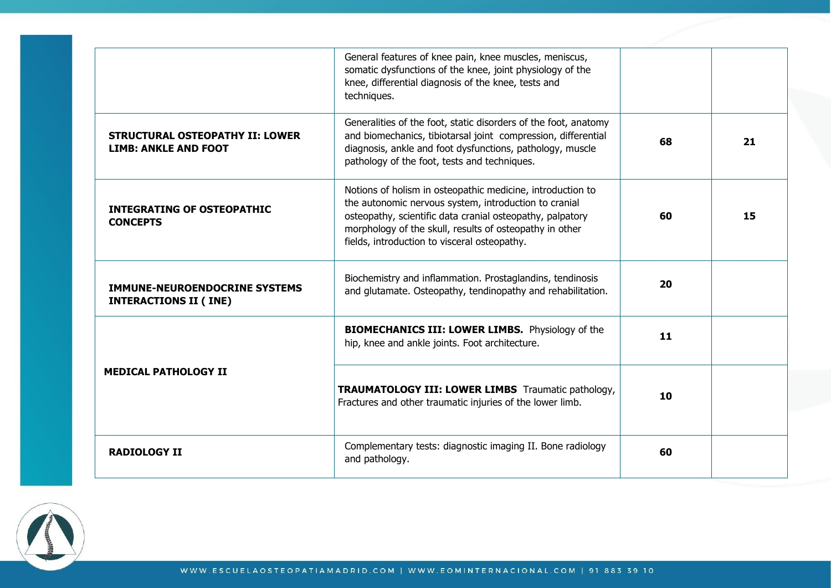|                                                                       | General features of knee pain, knee muscles, meniscus,<br>somatic dysfunctions of the knee, joint physiology of the<br>knee, differential diagnosis of the knee, tests and<br>techniques.                                                                                                   |    |    |
|-----------------------------------------------------------------------|---------------------------------------------------------------------------------------------------------------------------------------------------------------------------------------------------------------------------------------------------------------------------------------------|----|----|
| <b>STRUCTURAL OSTEOPATHY II: LOWER</b><br><b>LIMB: ANKLE AND FOOT</b> | Generalities of the foot, static disorders of the foot, anatomy<br>and biomechanics, tibiotarsal joint compression, differential<br>diagnosis, ankle and foot dysfunctions, pathology, muscle<br>pathology of the foot, tests and techniques.                                               | 68 | 21 |
| <b>INTEGRATING OF OSTEOPATHIC</b><br><b>CONCEPTS</b>                  | Notions of holism in osteopathic medicine, introduction to<br>the autonomic nervous system, introduction to cranial<br>osteopathy, scientific data cranial osteopathy, palpatory<br>morphology of the skull, results of osteopathy in other<br>fields, introduction to visceral osteopathy. | 60 | 15 |
| <b>IMMUNE-NEUROENDOCRINE SYSTEMS</b><br><b>INTERACTIONS II (INE)</b>  | Biochemistry and inflammation. Prostaglandins, tendinosis<br>and glutamate. Osteopathy, tendinopathy and rehabilitation.                                                                                                                                                                    | 20 |    |
|                                                                       | <b>BIOMECHANICS III: LOWER LIMBS.</b> Physiology of the<br>hip, knee and ankle joints. Foot architecture.                                                                                                                                                                                   | 11 |    |
| <b>MEDICAL PATHOLOGY II</b>                                           | <b>TRAUMATOLOGY III: LOWER LIMBS</b> Traumatic pathology,<br>Fractures and other traumatic injuries of the lower limb.                                                                                                                                                                      | 10 |    |
| <b>RADIOLOGY II</b>                                                   | Complementary tests: diagnostic imaging II. Bone radiology<br>and pathology.                                                                                                                                                                                                                | 60 |    |

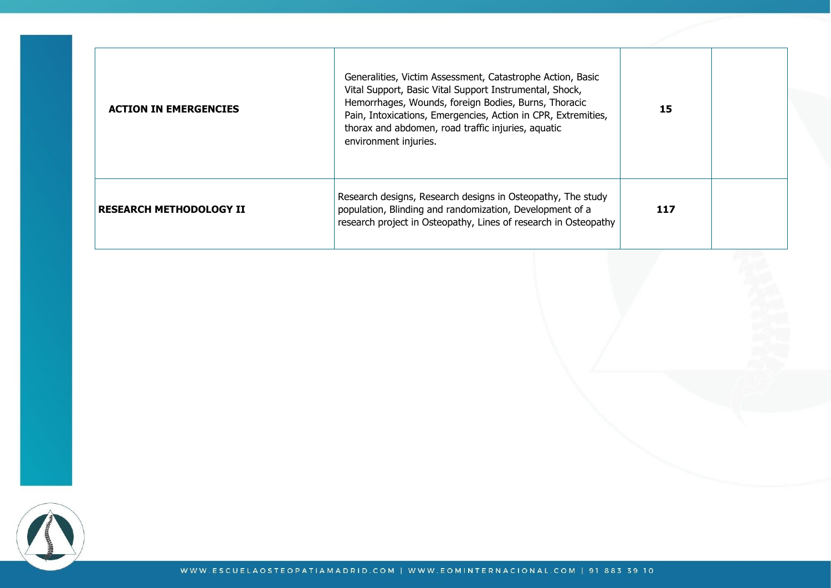| <b>ACTION IN EMERGENCIES</b>   | Generalities, Victim Assessment, Catastrophe Action, Basic<br>Vital Support, Basic Vital Support Instrumental, Shock,<br>Hemorrhages, Wounds, foreign Bodies, Burns, Thoracic<br>Pain, Intoxications, Emergencies, Action in CPR, Extremities,<br>thorax and abdomen, road traffic injuries, aquatic<br>environment injuries. | 15  |  |
|--------------------------------|-------------------------------------------------------------------------------------------------------------------------------------------------------------------------------------------------------------------------------------------------------------------------------------------------------------------------------|-----|--|
| <b>RESEARCH METHODOLOGY II</b> | Research designs, Research designs in Osteopathy, The study<br>population, Blinding and randomization, Development of a<br>research project in Osteopathy, Lines of research in Osteopathy                                                                                                                                    | 117 |  |

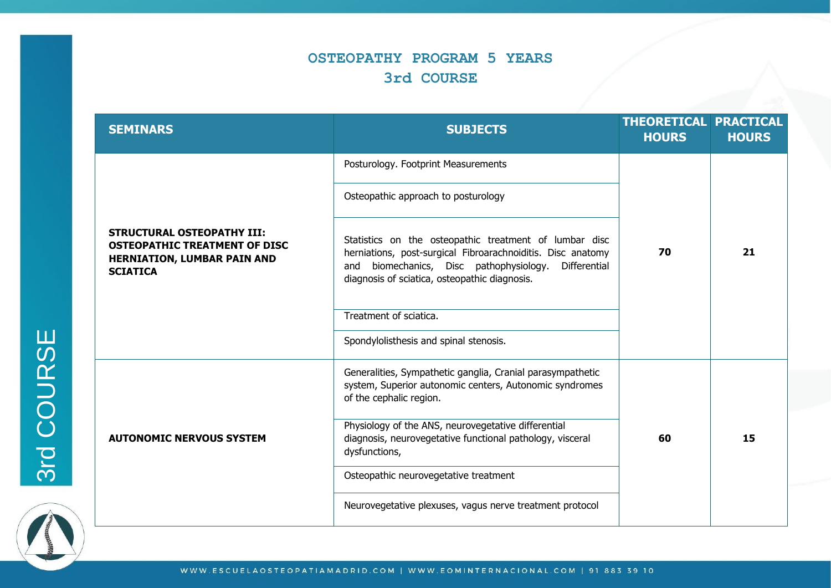#### **OSTEOPATHY PROGRAM 5 YEARS 3rd COURSE**

| <b>SEMINARS</b>                                                                                                                    | <b>SUBJECTS</b>                                                                                                                                                                                                                   | <b>THEORETICAL PRACTICAL</b><br><b>HOURS</b> | <b>HOURS</b> |
|------------------------------------------------------------------------------------------------------------------------------------|-----------------------------------------------------------------------------------------------------------------------------------------------------------------------------------------------------------------------------------|----------------------------------------------|--------------|
|                                                                                                                                    | Posturology. Footprint Measurements                                                                                                                                                                                               |                                              |              |
|                                                                                                                                    | Osteopathic approach to posturology                                                                                                                                                                                               |                                              |              |
| <b>STRUCTURAL OSTEOPATHY III:</b><br><b>OSTEOPATHIC TREATMENT OF DISC</b><br><b>HERNIATION, LUMBAR PAIN AND</b><br><b>SCIATICA</b> | Statistics on the osteopathic treatment of lumbar disc<br>herniations, post-surgical Fibroarachnoiditis. Disc anatomy<br>and biomechanics, Disc pathophysiology.<br>Differential<br>diagnosis of sciatica, osteopathic diagnosis. | 70                                           | 21           |
|                                                                                                                                    | Treatment of sciatica.                                                                                                                                                                                                            |                                              |              |
|                                                                                                                                    | Spondylolisthesis and spinal stenosis.                                                                                                                                                                                            |                                              |              |
| <b>AUTONOMIC NERVOUS SYSTEM</b>                                                                                                    | Generalities, Sympathetic ganglia, Cranial parasympathetic<br>system, Superior autonomic centers, Autonomic syndromes<br>of the cephalic region.                                                                                  |                                              |              |
|                                                                                                                                    | Physiology of the ANS, neurovegetative differential<br>diagnosis, neurovegetative functional pathology, visceral<br>dysfunctions,                                                                                                 | 60                                           | 15           |
|                                                                                                                                    | Osteopathic neurovegetative treatment                                                                                                                                                                                             |                                              |              |
|                                                                                                                                    | Neurovegetative plexuses, vagus nerve treatment protocol                                                                                                                                                                          |                                              |              |

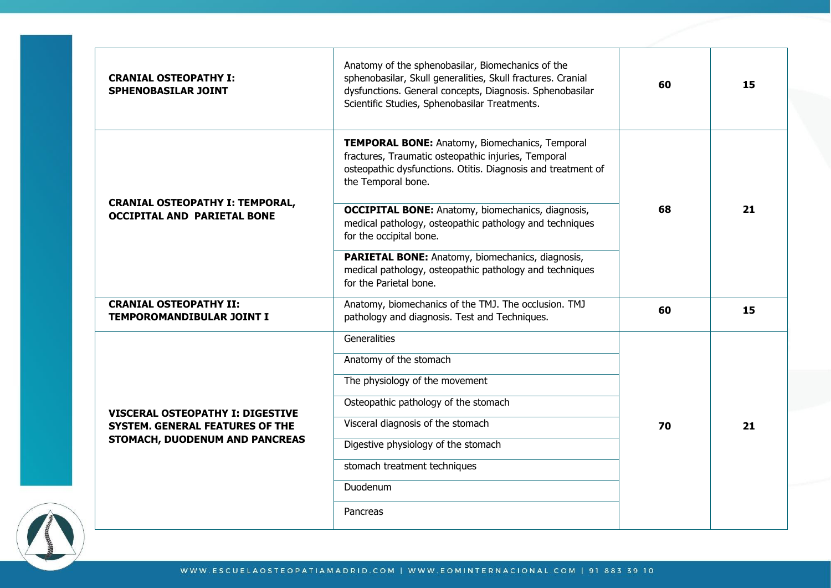| <b>CRANIAL OSTEOPATHY I:</b><br><b>SPHENOBASILAR JOINT</b>                        | Anatomy of the sphenobasilar, Biomechanics of the<br>sphenobasilar, Skull generalities, Skull fractures. Cranial<br>dysfunctions. General concepts, Diagnosis. Sphenobasilar<br>Scientific Studies, Sphenobasilar Treatments.                                                                                                                                                                     | 60       | 15 |  |
|-----------------------------------------------------------------------------------|---------------------------------------------------------------------------------------------------------------------------------------------------------------------------------------------------------------------------------------------------------------------------------------------------------------------------------------------------------------------------------------------------|----------|----|--|
| <b>CRANIAL OSTEOPATHY I: TEMPORAL,</b><br><b>OCCIPITAL AND PARIETAL BONE</b>      | TEMPORAL BONE: Anatomy, Biomechanics, Temporal<br>fractures, Traumatic osteopathic injuries, Temporal<br>osteopathic dysfunctions. Otitis. Diagnosis and treatment of<br>the Temporal bone.<br><b>OCCIPITAL BONE:</b> Anatomy, biomechanics, diagnosis,<br>medical pathology, osteopathic pathology and techniques<br>for the occipital bone.<br>PARIETAL BONE: Anatomy, biomechanics, diagnosis, | 68<br>60 | 21 |  |
| <b>CRANIAL OSTEOPATHY II:</b>                                                     | medical pathology, osteopathic pathology and techniques<br>for the Parietal bone.<br>Anatomy, biomechanics of the TMJ. The occlusion. TMJ                                                                                                                                                                                                                                                         |          | 15 |  |
| TEMPOROMANDIBULAR JOINT I                                                         | pathology and diagnosis. Test and Techniques.<br>Generalities                                                                                                                                                                                                                                                                                                                                     |          |    |  |
|                                                                                   | Anatomy of the stomach                                                                                                                                                                                                                                                                                                                                                                            |          |    |  |
|                                                                                   | The physiology of the movement                                                                                                                                                                                                                                                                                                                                                                    |          |    |  |
|                                                                                   | Osteopathic pathology of the stomach                                                                                                                                                                                                                                                                                                                                                              |          |    |  |
| <b>VISCERAL OSTEOPATHY I: DIGESTIVE</b><br><b>SYSTEM. GENERAL FEATURES OF THE</b> | Visceral diagnosis of the stomach                                                                                                                                                                                                                                                                                                                                                                 | 70       | 21 |  |
| STOMACH, DUODENUM AND PANCREAS                                                    | Digestive physiology of the stomach                                                                                                                                                                                                                                                                                                                                                               |          |    |  |
|                                                                                   | stomach treatment techniques                                                                                                                                                                                                                                                                                                                                                                      |          |    |  |
|                                                                                   | Duodenum                                                                                                                                                                                                                                                                                                                                                                                          |          |    |  |
|                                                                                   | Pancreas                                                                                                                                                                                                                                                                                                                                                                                          |          |    |  |

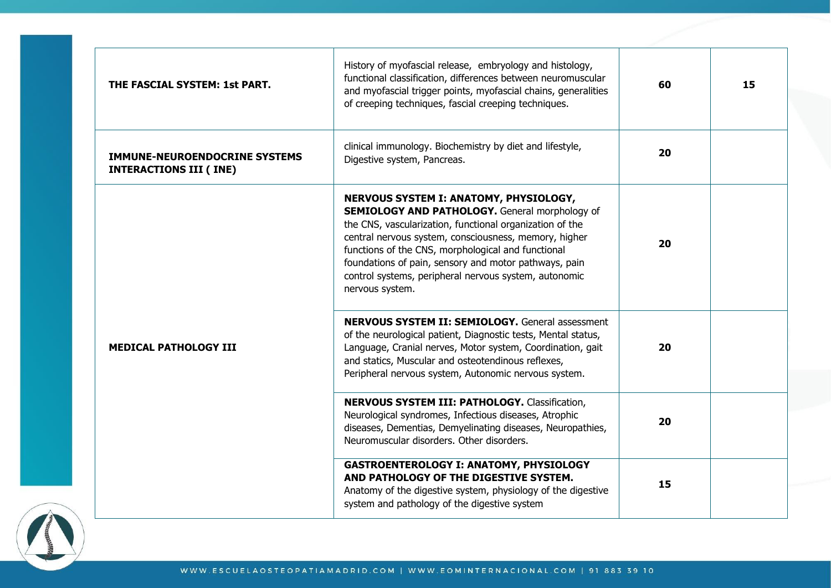| THE FASCIAL SYSTEM: 1st PART.                                         | History of myofascial release, embryology and histology,<br>functional classification, differences between neuromuscular<br>and myofascial trigger points, myofascial chains, generalities<br>of creeping techniques, fascial creeping techniques.                                                                                                                                                              | 60 | 15 |
|-----------------------------------------------------------------------|-----------------------------------------------------------------------------------------------------------------------------------------------------------------------------------------------------------------------------------------------------------------------------------------------------------------------------------------------------------------------------------------------------------------|----|----|
| <b>IMMUNE-NEUROENDOCRINE SYSTEMS</b><br><b>INTERACTIONS III (INE)</b> | clinical immunology. Biochemistry by diet and lifestyle,<br>Digestive system, Pancreas.                                                                                                                                                                                                                                                                                                                         | 20 |    |
| <b>MEDICAL PATHOLOGY III</b>                                          | NERVOUS SYSTEM I: ANATOMY, PHYSIOLOGY,<br><b>SEMIOLOGY AND PATHOLOGY.</b> General morphology of<br>the CNS, vascularization, functional organization of the<br>central nervous system, consciousness, memory, higher<br>functions of the CNS, morphological and functional<br>foundations of pain, sensory and motor pathways, pain<br>control systems, peripheral nervous system, autonomic<br>nervous system. | 20 |    |
|                                                                       | <b>NERVOUS SYSTEM II: SEMIOLOGY.</b> General assessment<br>of the neurological patient, Diagnostic tests, Mental status,<br>Language, Cranial nerves, Motor system, Coordination, gait<br>and statics, Muscular and osteotendinous reflexes,<br>Peripheral nervous system, Autonomic nervous system.                                                                                                            | 20 |    |
|                                                                       | <b>NERVOUS SYSTEM III: PATHOLOGY.</b> Classification,<br>Neurological syndromes, Infectious diseases, Atrophic<br>diseases, Dementias, Demyelinating diseases, Neuropathies,<br>Neuromuscular disorders. Other disorders.                                                                                                                                                                                       | 20 |    |
|                                                                       | <b>GASTROENTEROLOGY I: ANATOMY, PHYSIOLOGY</b><br>AND PATHOLOGY OF THE DIGESTIVE SYSTEM.<br>Anatomy of the digestive system, physiology of the digestive<br>system and pathology of the digestive system                                                                                                                                                                                                        | 15 |    |

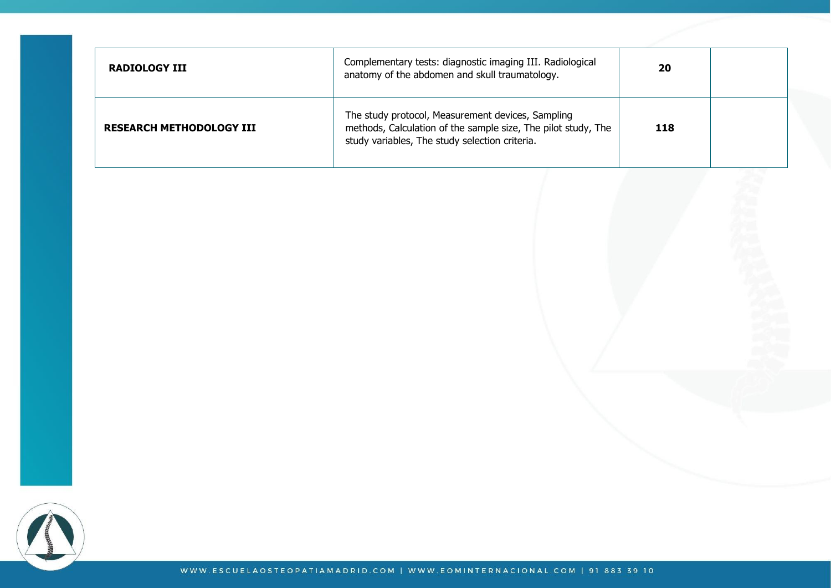| RADIOLOGY III                   | Complementary tests: diagnostic imaging III. Radiological<br>anatomy of the abdomen and skull traumatology.                                                          | 20  |  |
|---------------------------------|----------------------------------------------------------------------------------------------------------------------------------------------------------------------|-----|--|
| <b>RESEARCH METHODOLOGY III</b> | The study protocol, Measurement devices, Sampling<br>methods, Calculation of the sample size, The pilot study, The<br>study variables, The study selection criteria. | 118 |  |

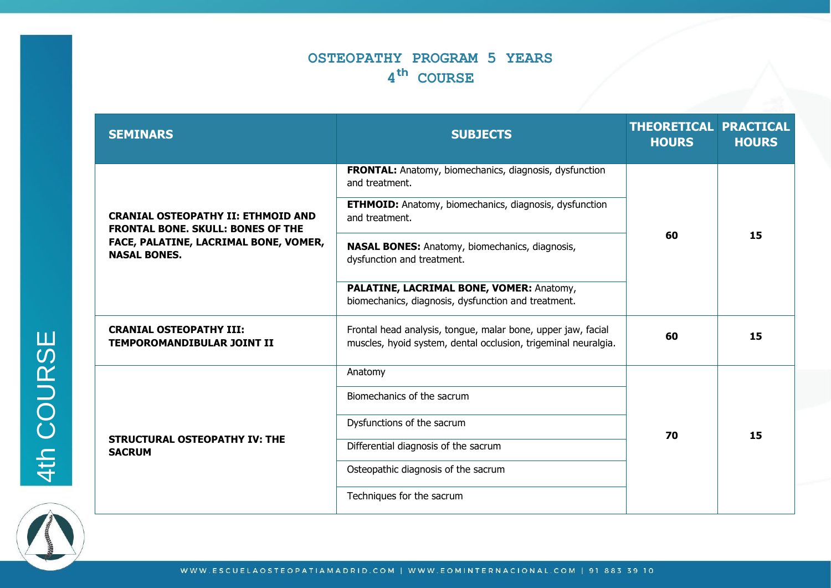# **OSTEOPATHY PROGRAM 5 YEARS 4 COURSE**

| <b>SEMINARS</b>                                                                       | <b>SUBJECTS</b>                                                                                                                | <b>THEORETICAL PRACTICAL</b><br><b>HOURS</b> | <b>HOURS</b> |
|---------------------------------------------------------------------------------------|--------------------------------------------------------------------------------------------------------------------------------|----------------------------------------------|--------------|
|                                                                                       | <b>FRONTAL:</b> Anatomy, biomechanics, diagnosis, dysfunction<br>and treatment.                                                |                                              | 15           |
| <b>CRANIAL OSTEOPATHY II: ETHMOID AND</b><br><b>FRONTAL BONE, SKULL: BONES OF THE</b> | <b>ETHMOID:</b> Anatomy, biomechanics, diagnosis, dysfunction<br>and treatment.                                                | 60                                           |              |
| FACE, PALATINE, LACRIMAL BONE, VOMER,<br><b>NASAL BONES.</b>                          | <b>NASAL BONES:</b> Anatomy, biomechanics, diagnosis,<br>dysfunction and treatment.                                            |                                              |              |
|                                                                                       | PALATINE, LACRIMAL BONE, VOMER: Anatomy,<br>biomechanics, diagnosis, dysfunction and treatment.                                |                                              |              |
| <b>CRANIAL OSTEOPATHY III:</b><br><b>TEMPOROMANDIBULAR JOINT II</b>                   | Frontal head analysis, tongue, malar bone, upper jaw, facial<br>muscles, hyoid system, dental occlusion, trigeminal neuralgia. | 60                                           | 15           |
|                                                                                       | Anatomy                                                                                                                        |                                              |              |
|                                                                                       | Biomechanics of the sacrum                                                                                                     |                                              |              |
| <b>STRUCTURAL OSTEOPATHY IV: THE</b><br><b>SACRUM</b>                                 | Dysfunctions of the sacrum                                                                                                     | 70                                           | 15           |
|                                                                                       | Differential diagnosis of the sacrum                                                                                           |                                              |              |
|                                                                                       | Osteopathic diagnosis of the sacrum                                                                                            |                                              |              |
|                                                                                       | Techniques for the sacrum                                                                                                      |                                              |              |



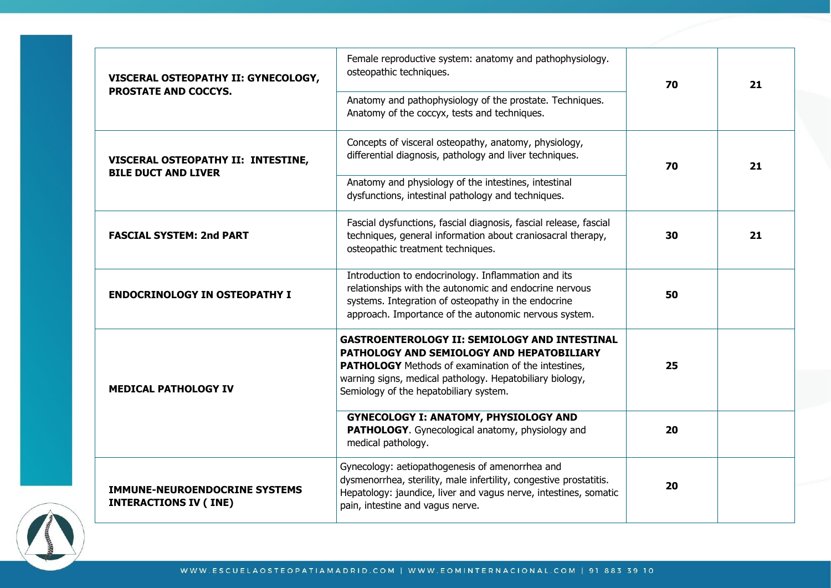| VISCERAL OSTEOPATHY II: GYNECOLOGY,                                  | Female reproductive system: anatomy and pathophysiology.<br>osteopathic techniques.                                                                                                                                                                                   | 70 | 21 |
|----------------------------------------------------------------------|-----------------------------------------------------------------------------------------------------------------------------------------------------------------------------------------------------------------------------------------------------------------------|----|----|
| <b>PROSTATE AND COCCYS.</b>                                          | Anatomy and pathophysiology of the prostate. Techniques.<br>Anatomy of the coccyx, tests and techniques.                                                                                                                                                              |    |    |
| VISCERAL OSTEOPATHY II: INTESTINE,                                   | Concepts of visceral osteopathy, anatomy, physiology,<br>differential diagnosis, pathology and liver techniques.                                                                                                                                                      | 70 | 21 |
| <b>BILE DUCT AND LIVER</b>                                           | Anatomy and physiology of the intestines, intestinal<br>dysfunctions, intestinal pathology and techniques.                                                                                                                                                            |    |    |
| <b>FASCIAL SYSTEM: 2nd PART</b>                                      | Fascial dysfunctions, fascial diagnosis, fascial release, fascial<br>techniques, general information about craniosacral therapy,<br>osteopathic treatment techniques.                                                                                                 | 30 | 21 |
| <b>ENDOCRINOLOGY IN OSTEOPATHY I</b>                                 | Introduction to endocrinology. Inflammation and its<br>relationships with the autonomic and endocrine nervous<br>systems. Integration of osteopathy in the endocrine<br>approach. Importance of the autonomic nervous system.                                         | 50 |    |
| <b>MEDICAL PATHOLOGY IV</b>                                          | <b>GASTROENTEROLOGY II: SEMIOLOGY AND INTESTINAL</b><br>PATHOLOGY AND SEMIOLOGY AND HEPATOBILIARY<br><b>PATHOLOGY</b> Methods of examination of the intestines,<br>warning signs, medical pathology. Hepatobiliary biology,<br>Semiology of the hepatobiliary system. | 25 |    |
|                                                                      | <b>GYNECOLOGY I: ANATOMY, PHYSIOLOGY AND</b><br>PATHOLOGY. Gynecological anatomy, physiology and<br>medical pathology.                                                                                                                                                | 20 |    |
| <b>IMMUNE-NEUROENDOCRINE SYSTEMS</b><br><b>INTERACTIONS IV (INE)</b> | Gynecology: aetiopathogenesis of amenorrhea and<br>dysmenorrhea, sterility, male infertility, congestive prostatitis.<br>Hepatology: jaundice, liver and vagus nerve, intestines, somatic<br>pain, intestine and vagus nerve.                                         | 20 |    |

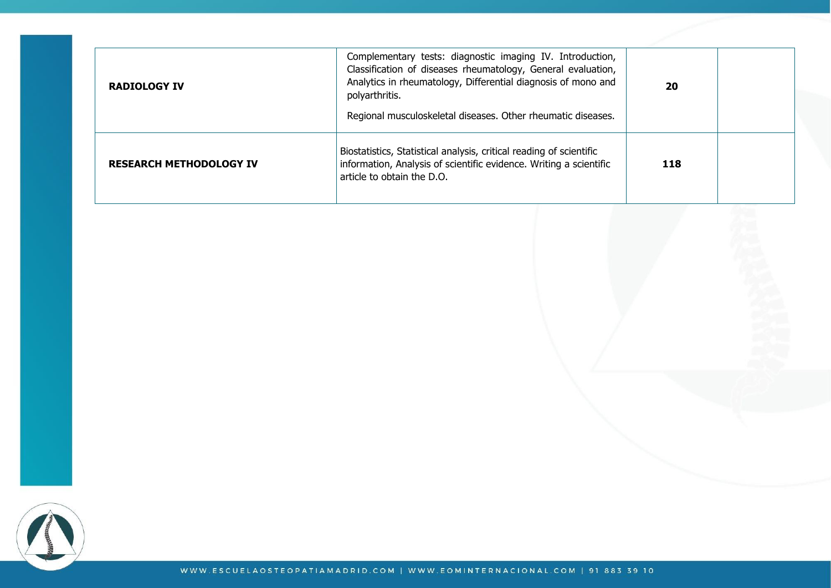| <b>RADIOLOGY IV</b>            | Complementary tests: diagnostic imaging IV. Introduction,<br>Classification of diseases rheumatology, General evaluation,<br>Analytics in rheumatology, Differential diagnosis of mono and<br>polyarthritis.<br>Regional musculoskeletal diseases. Other rheumatic diseases. | 20  |  |
|--------------------------------|------------------------------------------------------------------------------------------------------------------------------------------------------------------------------------------------------------------------------------------------------------------------------|-----|--|
| <b>RESEARCH METHODOLOGY IV</b> | Biostatistics, Statistical analysis, critical reading of scientific<br>information, Analysis of scientific evidence. Writing a scientific<br>article to obtain the D.O.                                                                                                      | 118 |  |

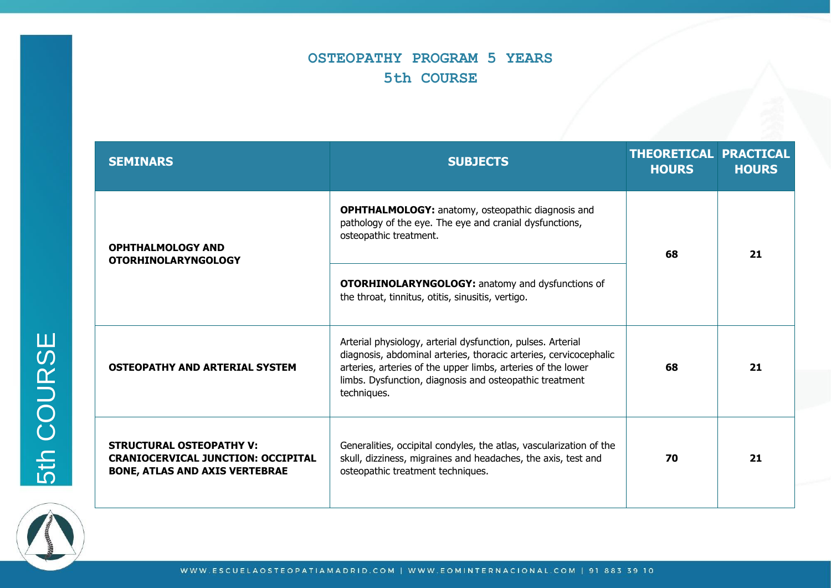# **OSTEOPATHY PROGRAM 5 YEARS 5th COURSE**

| <b>SEMINARS</b>                                                                                                       | <b>SUBJECTS</b>                                                                                                                                                                                                                                                            |    | <b>THEORETICAL PRACTICAL</b><br><b>HOURS</b> |
|-----------------------------------------------------------------------------------------------------------------------|----------------------------------------------------------------------------------------------------------------------------------------------------------------------------------------------------------------------------------------------------------------------------|----|----------------------------------------------|
| <b>OPHTHALMOLOGY AND</b><br><b>OTORHINOLARYNGOLOGY</b>                                                                | <b>OPHTHALMOLOGY:</b> anatomy, osteopathic diagnosis and<br>pathology of the eye. The eye and cranial dysfunctions,<br>osteopathic treatment.                                                                                                                              | 68 | 21                                           |
|                                                                                                                       | <b>OTORHINOLARYNGOLOGY:</b> anatomy and dysfunctions of<br>the throat, tinnitus, otitis, sinusitis, vertigo.                                                                                                                                                               |    |                                              |
| <b>OSTEOPATHY AND ARTERIAL SYSTEM</b>                                                                                 | Arterial physiology, arterial dysfunction, pulses. Arterial<br>diagnosis, abdominal arteries, thoracic arteries, cervicocephalic<br>arteries, arteries of the upper limbs, arteries of the lower<br>limbs. Dysfunction, diagnosis and osteopathic treatment<br>techniques. | 68 | 21                                           |
| <b>STRUCTURAL OSTEOPATHY V:</b><br><b>CRANIOCERVICAL JUNCTION: OCCIPITAL</b><br><b>BONE, ATLAS AND AXIS VERTEBRAE</b> | Generalities, occipital condyles, the atlas, vascularization of the<br>skull, dizziness, migraines and headaches, the axis, test and<br>osteopathic treatment techniques.                                                                                                  | 70 | 21                                           |



5th COURSE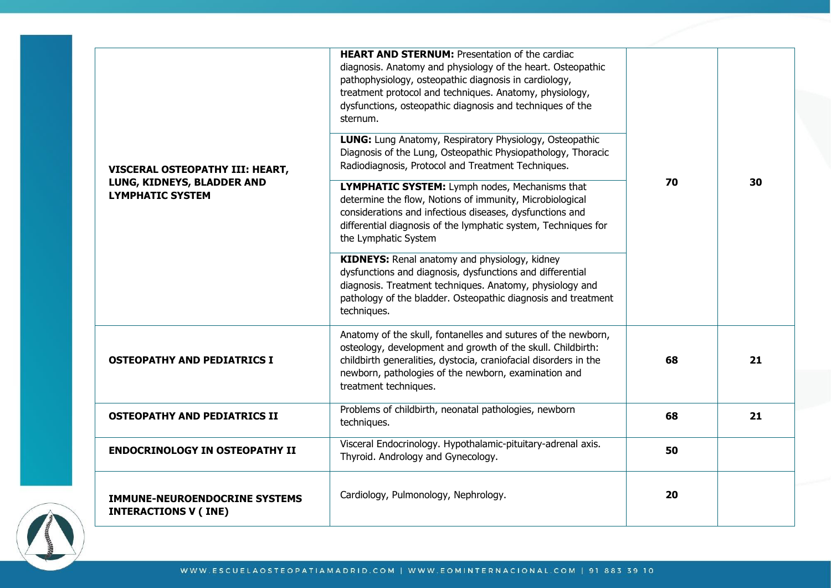| VISCERAL OSTEOPATHY III: HEART,<br>LUNG, KIDNEYS, BLADDER AND<br><b>LYMPHATIC SYSTEM</b> | <b>HEART AND STERNUM: Presentation of the cardiac</b><br>diagnosis. Anatomy and physiology of the heart. Osteopathic<br>pathophysiology, osteopathic diagnosis in cardiology,<br>treatment protocol and techniques. Anatomy, physiology,<br>dysfunctions, osteopathic diagnosis and techniques of the<br>sternum. | 70 |    |
|------------------------------------------------------------------------------------------|-------------------------------------------------------------------------------------------------------------------------------------------------------------------------------------------------------------------------------------------------------------------------------------------------------------------|----|----|
|                                                                                          | LUNG: Lung Anatomy, Respiratory Physiology, Osteopathic<br>Diagnosis of the Lung, Osteopathic Physiopathology, Thoracic<br>Radiodiagnosis, Protocol and Treatment Techniques.                                                                                                                                     |    |    |
|                                                                                          | LYMPHATIC SYSTEM: Lymph nodes, Mechanisms that<br>determine the flow, Notions of immunity, Microbiological<br>considerations and infectious diseases, dysfunctions and<br>differential diagnosis of the lymphatic system, Techniques for<br>the Lymphatic System                                                  |    | 30 |
|                                                                                          | KIDNEYS: Renal anatomy and physiology, kidney<br>dysfunctions and diagnosis, dysfunctions and differential<br>diagnosis. Treatment techniques. Anatomy, physiology and<br>pathology of the bladder. Osteopathic diagnosis and treatment<br>techniques.                                                            |    |    |
| <b>OSTEOPATHY AND PEDIATRICS I</b>                                                       | Anatomy of the skull, fontanelles and sutures of the newborn,<br>osteology, development and growth of the skull. Childbirth:<br>childbirth generalities, dystocia, craniofacial disorders in the<br>newborn, pathologies of the newborn, examination and<br>treatment techniques.                                 | 68 | 21 |
| <b>OSTEOPATHY AND PEDIATRICS II</b>                                                      | Problems of childbirth, neonatal pathologies, newborn<br>techniques.                                                                                                                                                                                                                                              | 68 | 21 |
| <b>ENDOCRINOLOGY IN OSTEOPATHY II</b>                                                    | Visceral Endocrinology. Hypothalamic-pituitary-adrenal axis.<br>Thyroid. Andrology and Gynecology.                                                                                                                                                                                                                | 50 |    |
| <b>IMMUNE-NEUROENDOCRINE SYSTEMS</b><br><b>INTERACTIONS V (INE)</b>                      | Cardiology, Pulmonology, Nephrology.                                                                                                                                                                                                                                                                              | 20 |    |

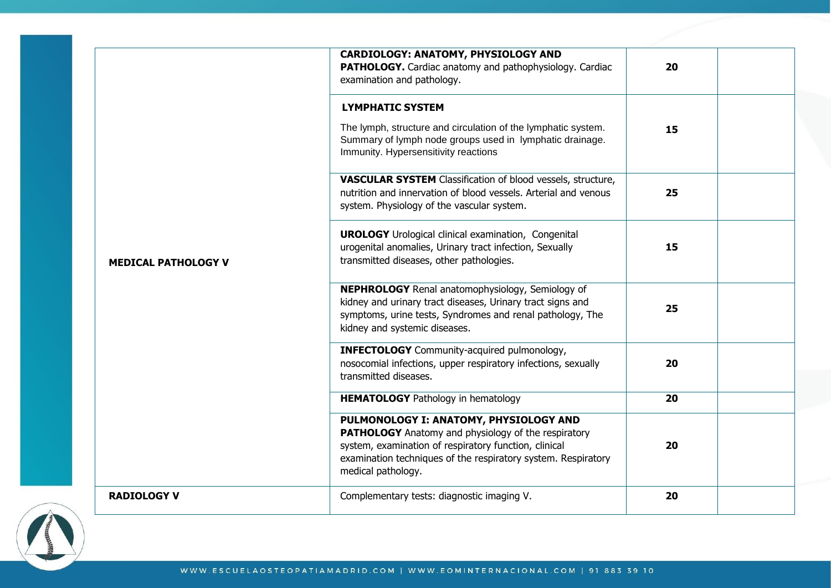| <b>MEDICAL PATHOLOGY V</b> | CARDIOLOGY: ANATOMY, PHYSIOLOGY AND<br>PATHOLOGY. Cardiac anatomy and pathophysiology. Cardiac<br>examination and pathology.                                                                                                                         | 20 |
|----------------------------|------------------------------------------------------------------------------------------------------------------------------------------------------------------------------------------------------------------------------------------------------|----|
|                            | <b>LYMPHATIC SYSTEM</b>                                                                                                                                                                                                                              |    |
|                            | The lymph, structure and circulation of the lymphatic system.<br>Summary of lymph node groups used in lymphatic drainage.<br>Immunity. Hypersensitivity reactions                                                                                    | 15 |
|                            | <b>VASCULAR SYSTEM</b> Classification of blood vessels, structure,<br>nutrition and innervation of blood vessels. Arterial and venous<br>system. Physiology of the vascular system.                                                                  | 25 |
|                            | <b>UROLOGY</b> Urological clinical examination, Congenital<br>urogenital anomalies, Urinary tract infection, Sexually<br>transmitted diseases, other pathologies.                                                                                    | 15 |
|                            | NEPHROLOGY Renal anatomophysiology, Semiology of<br>kidney and urinary tract diseases, Urinary tract signs and<br>symptoms, urine tests, Syndromes and renal pathology, The<br>kidney and systemic diseases.                                         | 25 |
|                            | <b>INFECTOLOGY</b> Community-acquired pulmonology,<br>nosocomial infections, upper respiratory infections, sexually<br>transmitted diseases.                                                                                                         | 20 |
|                            | <b>HEMATOLOGY</b> Pathology in hematology                                                                                                                                                                                                            | 20 |
|                            | PULMONOLOGY I: ANATOMY, PHYSIOLOGY AND<br><b>PATHOLOGY</b> Anatomy and physiology of the respiratory<br>system, examination of respiratory function, clinical<br>examination techniques of the respiratory system. Respiratory<br>medical pathology. | 20 |
| <b>RADIOLOGY V</b>         | Complementary tests: diagnostic imaging V.                                                                                                                                                                                                           | 20 |

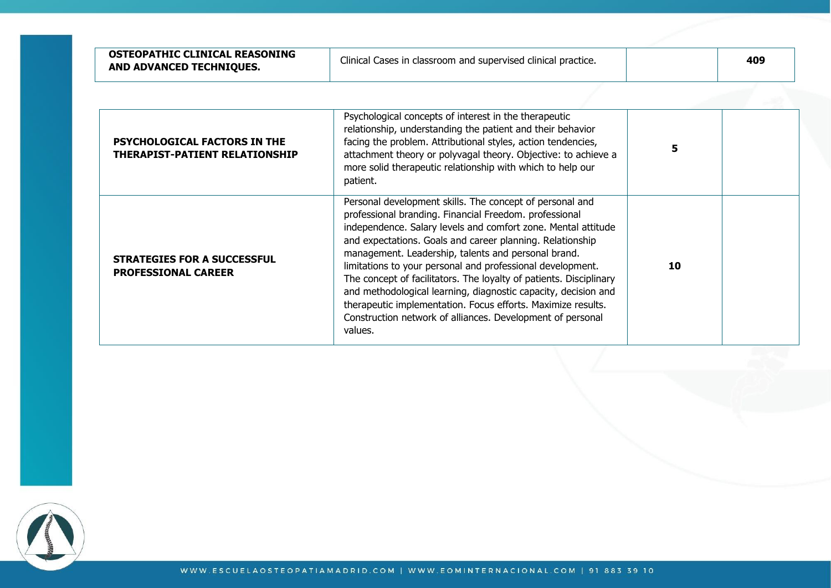| OSTEOPATHIC CLINICAL REASONING<br>AND ADVANCED TECHNIQUES.       | Clinical Cases in classroom and supervised clinical practice.                                                                                                                                                                                                                                                                                                                                                                                                                                                                                                                                                                                          |    | 409 |
|------------------------------------------------------------------|--------------------------------------------------------------------------------------------------------------------------------------------------------------------------------------------------------------------------------------------------------------------------------------------------------------------------------------------------------------------------------------------------------------------------------------------------------------------------------------------------------------------------------------------------------------------------------------------------------------------------------------------------------|----|-----|
| PSYCHOLOGICAL FACTORS IN THE<br>THERAPIST-PATIENT RELATIONSHIP   | Psychological concepts of interest in the therapeutic<br>relationship, understanding the patient and their behavior<br>facing the problem. Attributional styles, action tendencies,<br>attachment theory or polyvagal theory. Objective: to achieve a<br>more solid therapeutic relationship with which to help our<br>patient.                                                                                                                                                                                                                                                                                                                        | 5  |     |
| <b>STRATEGIES FOR A SUCCESSFUL</b><br><b>PROFESSIONAL CAREER</b> | Personal development skills. The concept of personal and<br>professional branding. Financial Freedom. professional<br>independence. Salary levels and comfort zone. Mental attitude<br>and expectations. Goals and career planning. Relationship<br>management. Leadership, talents and personal brand.<br>limitations to your personal and professional development.<br>The concept of facilitators. The loyalty of patients. Disciplinary<br>and methodological learning, diagnostic capacity, decision and<br>therapeutic implementation. Focus efforts. Maximize results.<br>Construction network of alliances. Development of personal<br>values. | 10 |     |